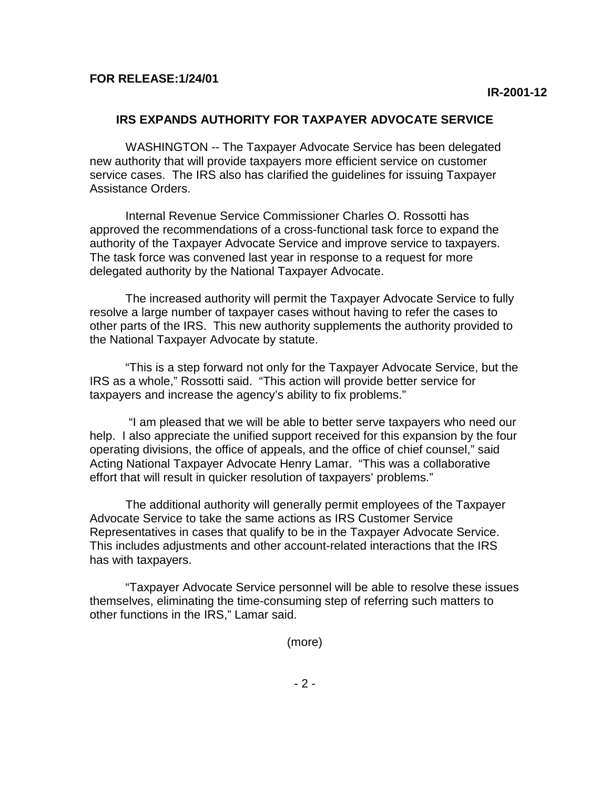## **IRS EXPANDS AUTHORITY FOR TAXPAYER ADVOCATE SERVICE**

WASHINGTON -- The Taxpayer Advocate Service has been delegated new authority that will provide taxpayers more efficient service on customer service cases. The IRS also has clarified the guidelines for issuing Taxpayer Assistance Orders.

Internal Revenue Service Commissioner Charles O. Rossotti has approved the recommendations of a cross-functional task force to expand the authority of the Taxpayer Advocate Service and improve service to taxpayers. The task force was convened last year in response to a request for more delegated authority by the National Taxpayer Advocate.

The increased authority will permit the Taxpayer Advocate Service to fully resolve a large number of taxpayer cases without having to refer the cases to other parts of the IRS. This new authority supplements the authority provided to the National Taxpayer Advocate by statute.

"This is a step forward not only for the Taxpayer Advocate Service, but the IRS as a whole," Rossotti said. "This action will provide better service for taxpayers and increase the agency's ability to fix problems."

 "I am pleased that we will be able to better serve taxpayers who need our help. I also appreciate the unified support received for this expansion by the four operating divisions, the office of appeals, and the office of chief counsel," said Acting National Taxpayer Advocate Henry Lamar. "This was a collaborative effort that will result in quicker resolution of taxpayers' problems."

The additional authority will generally permit employees of the Taxpayer Advocate Service to take the same actions as IRS Customer Service Representatives in cases that qualify to be in the Taxpayer Advocate Service. This includes adjustments and other account-related interactions that the IRS has with taxpayers.

"Taxpayer Advocate Service personnel will be able to resolve these issues themselves, eliminating the time-consuming step of referring such matters to other functions in the IRS," Lamar said.

(more)

 $-2 -$